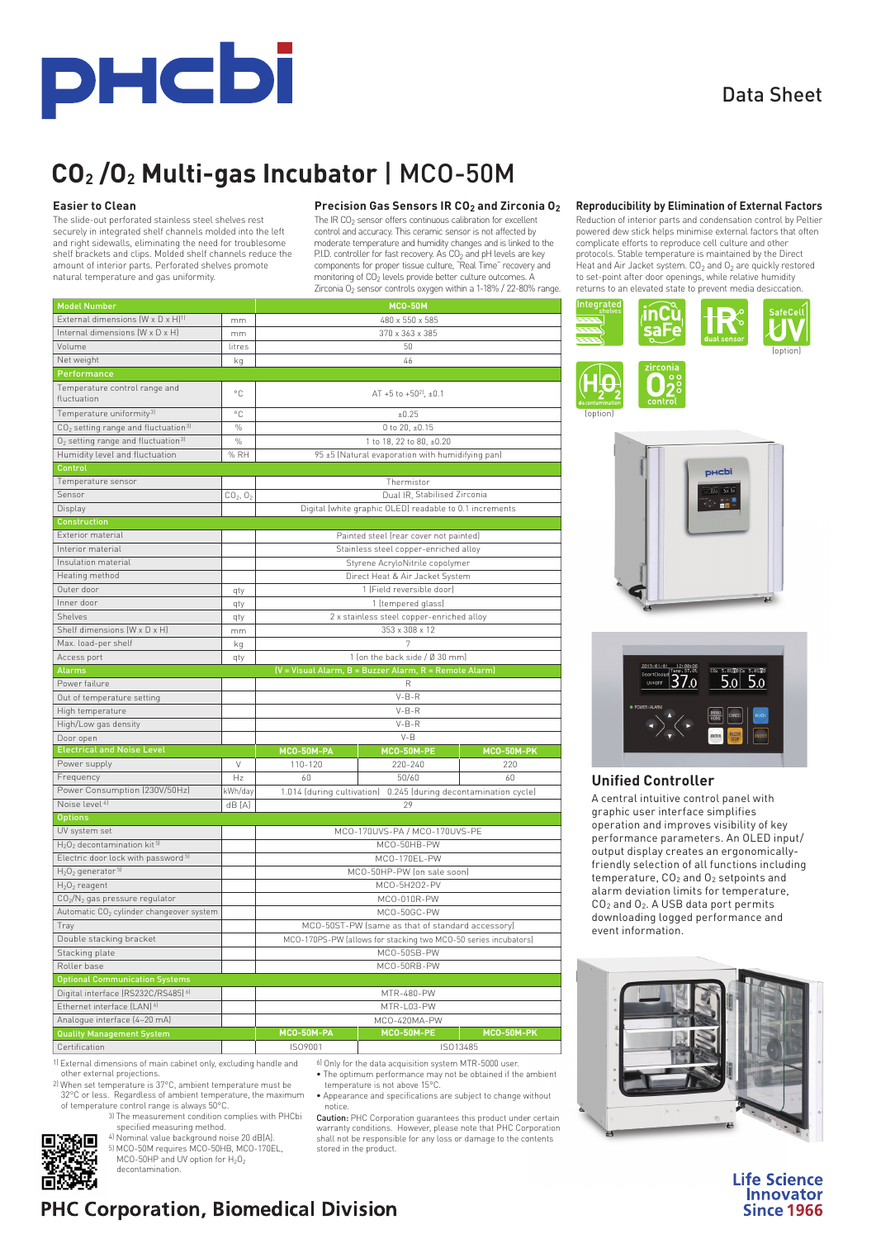

Data Sheet

# **CO2 /O2 Multi-gas Incubator** | MCO-50M

#### **Easier to Clean**

The slide-out perforated stainless steel shelves rest securely in integrated shelf channels molded into the left and right sidewalls, eliminating the need for troublesome shelf brackets and clips. Molded shelf channels reduce the amount of interior parts. Perforated shelves promote natural temperature and gas uniformity.

## **Precision Gas Sensors IR CO<sub>2</sub> and Zirconia O<sub>2</sub>**

The IR CO<sub>2</sub> sensor offers continuous calibration for excellent control and accuracy. This ceramic sensor is not affected by moderate temperature and humidity changes and is linked to the P.I.D. controller for fast recovery. As CO<sub>2</sub> and pH levels are key

| natural temperature and gas uniformity.                                                                                                                                                                                                                                                                                                                                   |                                  |                                                                    | monitoring of CO <sub>2</sub> levels provide better culture outcomes. A<br>Zirconia O <sub>2</sub> sensor controls oxygen within a 1-18% / 22-80% range. |                   |  |  |  |
|---------------------------------------------------------------------------------------------------------------------------------------------------------------------------------------------------------------------------------------------------------------------------------------------------------------------------------------------------------------------------|----------------------------------|--------------------------------------------------------------------|----------------------------------------------------------------------------------------------------------------------------------------------------------|-------------------|--|--|--|
| <b>Model Number</b>                                                                                                                                                                                                                                                                                                                                                       |                                  |                                                                    | <b>MCO-50M</b>                                                                                                                                           |                   |  |  |  |
| External dimensions (W x D x H) <sup>1)</sup>                                                                                                                                                                                                                                                                                                                             | mm                               | 480 x 550 x 585                                                    |                                                                                                                                                          |                   |  |  |  |
| Internal dimensions (W x D x H)                                                                                                                                                                                                                                                                                                                                           | mm                               | 370 x 363 x 385                                                    |                                                                                                                                                          |                   |  |  |  |
| Volume                                                                                                                                                                                                                                                                                                                                                                    | litres                           | 50                                                                 |                                                                                                                                                          |                   |  |  |  |
| Net weight                                                                                                                                                                                                                                                                                                                                                                | kq                               |                                                                    | 46                                                                                                                                                       |                   |  |  |  |
| Performance                                                                                                                                                                                                                                                                                                                                                               |                                  |                                                                    |                                                                                                                                                          |                   |  |  |  |
| Temperature control range and<br>fluctuation                                                                                                                                                                                                                                                                                                                              | °C                               |                                                                    | AT +5 to +50 $^{21}$ , ±0.1                                                                                                                              |                   |  |  |  |
|                                                                                                                                                                                                                                                                                                                                                                           |                                  |                                                                    |                                                                                                                                                          |                   |  |  |  |
| Temperature uniformity <sup>31</sup>                                                                                                                                                                                                                                                                                                                                      | ۰C                               | $+0.25$                                                            |                                                                                                                                                          |                   |  |  |  |
| CO <sub>2</sub> setting range and fluctuation <sup>3)</sup>                                                                                                                                                                                                                                                                                                               | $\%$                             | 0 to 20. ±0.15                                                     |                                                                                                                                                          |                   |  |  |  |
| $O2$ setting range and fluctuation <sup>31</sup>                                                                                                                                                                                                                                                                                                                          | $\%$                             |                                                                    | 1 to 18, 22 to 80, ±0.20                                                                                                                                 |                   |  |  |  |
| Humidity level and fluctuation                                                                                                                                                                                                                                                                                                                                            | % RH                             |                                                                    | 95 ±5 (Natural evaporation with humidifying pan)                                                                                                         |                   |  |  |  |
| Control                                                                                                                                                                                                                                                                                                                                                                   |                                  |                                                                    |                                                                                                                                                          |                   |  |  |  |
| Temperature sensor                                                                                                                                                                                                                                                                                                                                                        |                                  |                                                                    | Thermistor                                                                                                                                               |                   |  |  |  |
| Sensor                                                                                                                                                                                                                                                                                                                                                                    | CO <sub>2</sub> , O <sub>2</sub> |                                                                    | Dual IR, Stabilised Zirconia                                                                                                                             |                   |  |  |  |
| Display                                                                                                                                                                                                                                                                                                                                                                   |                                  |                                                                    | Digital (white graphic OLED) readable to 0.1 increments                                                                                                  |                   |  |  |  |
| <b>Construction</b>                                                                                                                                                                                                                                                                                                                                                       |                                  |                                                                    |                                                                                                                                                          |                   |  |  |  |
| Exterior material                                                                                                                                                                                                                                                                                                                                                         |                                  |                                                                    | Painted steel (rear cover not painted)                                                                                                                   |                   |  |  |  |
| Interior material                                                                                                                                                                                                                                                                                                                                                         |                                  |                                                                    | Stainless steel copper-enriched alloy                                                                                                                    |                   |  |  |  |
| Insulation material                                                                                                                                                                                                                                                                                                                                                       |                                  |                                                                    | Styrene AcryloNitrile copolymer                                                                                                                          |                   |  |  |  |
| Heating method                                                                                                                                                                                                                                                                                                                                                            |                                  |                                                                    | Direct Heat & Air Jacket System                                                                                                                          |                   |  |  |  |
| Outer door                                                                                                                                                                                                                                                                                                                                                                | qty                              | 1 (Field reversible door)                                          |                                                                                                                                                          |                   |  |  |  |
| Inner door                                                                                                                                                                                                                                                                                                                                                                | qty                              | 1 (tempered glass)                                                 |                                                                                                                                                          |                   |  |  |  |
| Shelves                                                                                                                                                                                                                                                                                                                                                                   | qty                              | 2 x stainless steel copper-enriched alloy                          |                                                                                                                                                          |                   |  |  |  |
| Shelf dimensions (W x D x H)                                                                                                                                                                                                                                                                                                                                              | mm                               | 353 x 308 x 12                                                     |                                                                                                                                                          |                   |  |  |  |
| Max. load-per shelf                                                                                                                                                                                                                                                                                                                                                       | kg                               | 7                                                                  |                                                                                                                                                          |                   |  |  |  |
| Access port                                                                                                                                                                                                                                                                                                                                                               | qty                              | 1 (on the back side / Ø 30 mm)                                     |                                                                                                                                                          |                   |  |  |  |
| <b>Alarms</b>                                                                                                                                                                                                                                                                                                                                                             |                                  |                                                                    | (V = Visual Alarm, B = Buzzer Alarm, R = Remote Alarm)                                                                                                   |                   |  |  |  |
| Power failure                                                                                                                                                                                                                                                                                                                                                             |                                  |                                                                    | R                                                                                                                                                        |                   |  |  |  |
| Out of temperature setting                                                                                                                                                                                                                                                                                                                                                |                                  | $V-B-R$                                                            |                                                                                                                                                          |                   |  |  |  |
| High temperature                                                                                                                                                                                                                                                                                                                                                          |                                  | $V-B-R$                                                            |                                                                                                                                                          |                   |  |  |  |
| High/Low gas density                                                                                                                                                                                                                                                                                                                                                      |                                  |                                                                    | $V-B-R$                                                                                                                                                  |                   |  |  |  |
| Door open                                                                                                                                                                                                                                                                                                                                                                 |                                  | $V - B$                                                            |                                                                                                                                                          |                   |  |  |  |
| <b>Electrical and Noise Level</b>                                                                                                                                                                                                                                                                                                                                         |                                  | MCO-50M-PA                                                         | <b>MCO-50M-PE</b>                                                                                                                                        | <b>MCO-50M-PK</b> |  |  |  |
| Power supply                                                                                                                                                                                                                                                                                                                                                              | V                                | 110-120                                                            | 220-240                                                                                                                                                  | 220               |  |  |  |
| Frequency                                                                                                                                                                                                                                                                                                                                                                 | Hz                               | 60                                                                 | 50/60                                                                                                                                                    | 60                |  |  |  |
| Power Consumption (230V/50Hz)                                                                                                                                                                                                                                                                                                                                             | kWh/day                          | 0.245 (during decontamination cycle)<br>1.014 (during cultivation) |                                                                                                                                                          |                   |  |  |  |
| Noise level <sup>4]</sup>                                                                                                                                                                                                                                                                                                                                                 | dB [A]                           | 29                                                                 |                                                                                                                                                          |                   |  |  |  |
| <b>Options</b>                                                                                                                                                                                                                                                                                                                                                            |                                  |                                                                    |                                                                                                                                                          |                   |  |  |  |
| UV system set                                                                                                                                                                                                                                                                                                                                                             |                                  | MCO-170UVS-PA / MCO-170UVS-PE                                      |                                                                                                                                                          |                   |  |  |  |
| $H_2O_2$ decontamination kit <sup>5)</sup>                                                                                                                                                                                                                                                                                                                                |                                  | MCO-50HB-PW                                                        |                                                                                                                                                          |                   |  |  |  |
|                                                                                                                                                                                                                                                                                                                                                                           |                                  | MCO-170EL-PW                                                       |                                                                                                                                                          |                   |  |  |  |
|                                                                                                                                                                                                                                                                                                                                                                           |                                  | MCO-50HP-PW (on sale soon)                                         |                                                                                                                                                          |                   |  |  |  |
|                                                                                                                                                                                                                                                                                                                                                                           |                                  |                                                                    |                                                                                                                                                          |                   |  |  |  |
|                                                                                                                                                                                                                                                                                                                                                                           |                                  |                                                                    |                                                                                                                                                          |                   |  |  |  |
|                                                                                                                                                                                                                                                                                                                                                                           |                                  |                                                                    | MCO-5H2O2-PV                                                                                                                                             |                   |  |  |  |
|                                                                                                                                                                                                                                                                                                                                                                           |                                  |                                                                    | MCO-010R-PW                                                                                                                                              |                   |  |  |  |
|                                                                                                                                                                                                                                                                                                                                                                           |                                  |                                                                    | MCO-50GC-PW                                                                                                                                              |                   |  |  |  |
|                                                                                                                                                                                                                                                                                                                                                                           |                                  |                                                                    | MCO-50ST-PW (same as that of standard accessory)                                                                                                         |                   |  |  |  |
|                                                                                                                                                                                                                                                                                                                                                                           |                                  |                                                                    | MCO-170PS-PW (allows for stacking two MCO-50 series incubators)                                                                                          |                   |  |  |  |
|                                                                                                                                                                                                                                                                                                                                                                           |                                  |                                                                    | MCO-50SB-PW                                                                                                                                              |                   |  |  |  |
|                                                                                                                                                                                                                                                                                                                                                                           |                                  |                                                                    | MCO-50RB-PW                                                                                                                                              |                   |  |  |  |
|                                                                                                                                                                                                                                                                                                                                                                           |                                  |                                                                    |                                                                                                                                                          |                   |  |  |  |
| Electric door lock with password <sup>5)</sup><br>H <sub>2</sub> O <sub>2</sub> generator 51<br>$H_2O_2$ reagent<br>CO2/N <sub>2</sub> gas pressure regulator<br>Automatic CO <sub>2</sub> cylinder changeover system<br>Iray<br>Double stacking bracket<br>Stacking plate<br>Roller base<br><b>Optional Communication Systems</b><br>Digital interface (RS232C/RS485) 61 |                                  |                                                                    | MTR-480-PW                                                                                                                                               |                   |  |  |  |
| Ethernet interface (LAN) 61                                                                                                                                                                                                                                                                                                                                               |                                  |                                                                    | MTR-L03-PW                                                                                                                                               |                   |  |  |  |
| Analogue interface [4-20 mA]<br><b>Quality Management System</b>                                                                                                                                                                                                                                                                                                          |                                  | MCO-50M-PA                                                         | MCO-420MA-PW<br>MCO-50M-PE                                                                                                                               | <b>MCO-50M-PK</b> |  |  |  |

1) External dimensions of main cabinet only, excluding handle and other external projections.

2) When set temperature is 37°C, ambient temperature must be 32°C or less. Regardless of ambient temperature, the maximum of temperature control range is always 50°C.

Ю⊡

3) The measurement condition complies with PHCbi specified measuring method.

4) Nominal value background noise 20 dB(A). 5) MCO-50M requires MCO-50HB, MCO-170EL, MCO-50HP and UV option for  $H_2O_2$ 

decontamination.

6) Only for the data acquisition system MTR-5000 user.

- The optimum performance may not be obtained if the ambient temperature is not above 15°C.
- Appearance and specifications are subject to change without notice.

Caution: PHC Corporation guarantees this product under certain **Caution:** PHC Corporation guarantees this product under certain<br>warranty conditions. However, please note that PHC Corporation shall not be responsible for any loss or damage to the contents stored in the product.

#### **Reproducibility by Elimination of External Factors**

Reduction of interior parts and condensation control by Peltier powered dew stick helps minimise external factors that often complicate efforts to reproduce cell culture and other protocols. Stable temperature is maintained by the Direct Heat and Air Jacket system.  $CO<sub>2</sub>$  and  $O<sub>2</sub>$  are quickly restored to set-point after door openings, while relative humidity returns to an elevated state to prevent media desiccation.









## **Unified Controller**

A central intuitive control panel with graphic user interface simplifies operation and improves visibility of key performance parameters. An OLED input/ output display creates an ergonomicallyfriendly selection of all functions including temperature, CO2 and O2 setpoints and alarm deviation limits for temperature, CO2 and O2. A USB data port permits downloading logged performance and event information.



**Life Science Innovator Since 1966** 

## **PHC Corporation, Biomedical Division**